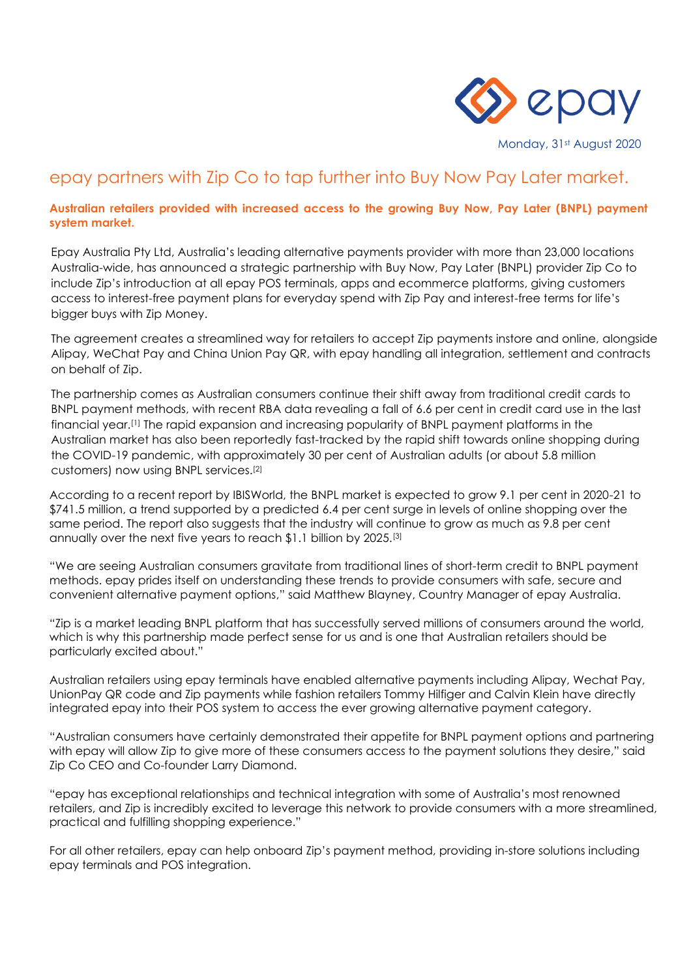

Monday, 31st August 2020

# epay partners with Zip Co to tap further into Buy Now Pay Later market.

### **Australian retailers provided with increased access to the growing Buy Now, Pay Later (BNPL) payment system market.**

Epay Australia Pty Ltd, Australia's leading alternative payments provider with more than 23,000 locations Australia-wide, has announced a strategic partnership with Buy Now, Pay Later (BNPL) provider Zip Co to include Zip's introduction at all epay POS terminals, apps and ecommerce platforms, giving customers access to interest-free payment plans for everyday spend with Zip Pay and interest-free terms for life's bigger buys with Zip Money.

The agreement creates a streamlined way for retailers to accept Zip payments instore and online, alongside Alipay, WeChat Pay and China Union Pay QR, with epay handling all integration, settlement and contracts on behalf of Zip.

The partnership comes as Australian consumers continue their shift away from traditional credit cards to BNPL payment methods, with recent RBA data revealing a fall of 6.6 per cent in credit card use in the last financial year.[1] The rapid expansion and increasing popularity of BNPL payment platforms in the Australian market has also been reportedly fast-tracked by the rapid shift towards online shopping during the COVID-19 pandemic, with approximately 30 per cent of Australian adults (or about 5.8 million customers) now using BNPL services.[2]

According to a recent report by IBISWorld, the BNPL market is expected to grow 9.1 per cent in 2020-21 to \$741.5 million, a trend supported by a predicted 6.4 per cent surge in levels of online shopping over the same period. The report also suggests that the industry will continue to grow as much as 9.8 per cent annually over the next five years to reach \$1.1 billion by 2025.[3]

"We are seeing Australian consumers gravitate from traditional lines of short-term credit to BNPL payment methods. epay prides itself on understanding these trends to provide consumers with safe, secure and convenient alternative payment options," said Matthew Blayney, Country Manager of epay Australia.

"Zip is a market leading BNPL platform that has successfully served millions of consumers around the world, which is why this partnership made perfect sense for us and is one that Australian retailers should be particularly excited about."

Australian retailers using epay terminals have enabled alternative payments including Alipay, Wechat Pay, UnionPay QR code and Zip payments while fashion retailers Tommy Hilfiger and Calvin Klein have directly integrated epay into their POS system to access the ever growing alternative payment category.

"Australian consumers have certainly demonstrated their appetite for BNPL payment options and partnering with epay will allow Zip to give more of these consumers access to the payment solutions they desire," said Zip Co CEO and Co-founder Larry Diamond.

"epay has exceptional relationships and technical integration with some of Australia's most renowned retailers, and Zip is incredibly excited to leverage this network to provide consumers with a more streamlined, practical and fulfilling shopping experience."

For all other retailers, epay can help onboard Zip's payment method, providing in-store solutions including epay terminals and POS integration.